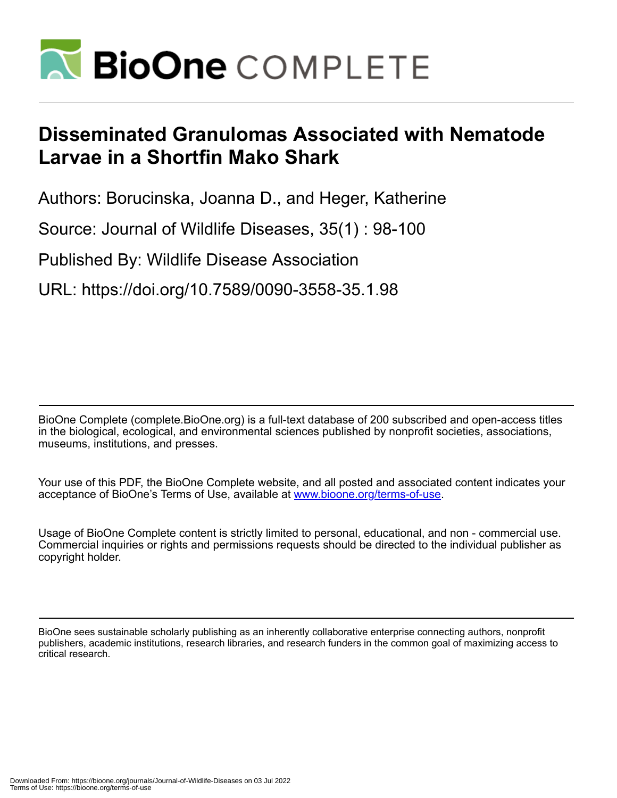

## **Disseminated Granulomas Associated with Nematode Larvae in a Shortfin Mako Shark**

Authors: Borucinska, Joanna D., and Heger, Katherine

Source: Journal of Wildlife Diseases, 35(1) : 98-100

Published By: Wildlife Disease Association

URL: https://doi.org/10.7589/0090-3558-35.1.98

BioOne Complete (complete.BioOne.org) is a full-text database of 200 subscribed and open-access titles in the biological, ecological, and environmental sciences published by nonprofit societies, associations, museums, institutions, and presses.

Your use of this PDF, the BioOne Complete website, and all posted and associated content indicates your acceptance of BioOne's Terms of Use, available at www.bioone.org/terms-of-use.

Usage of BioOne Complete content is strictly limited to personal, educational, and non - commercial use. Commercial inquiries or rights and permissions requests should be directed to the individual publisher as copyright holder.

BioOne sees sustainable scholarly publishing as an inherently collaborative enterprise connecting authors, nonprofit publishers, academic institutions, research libraries, and research funders in the common goal of maximizing access to critical research.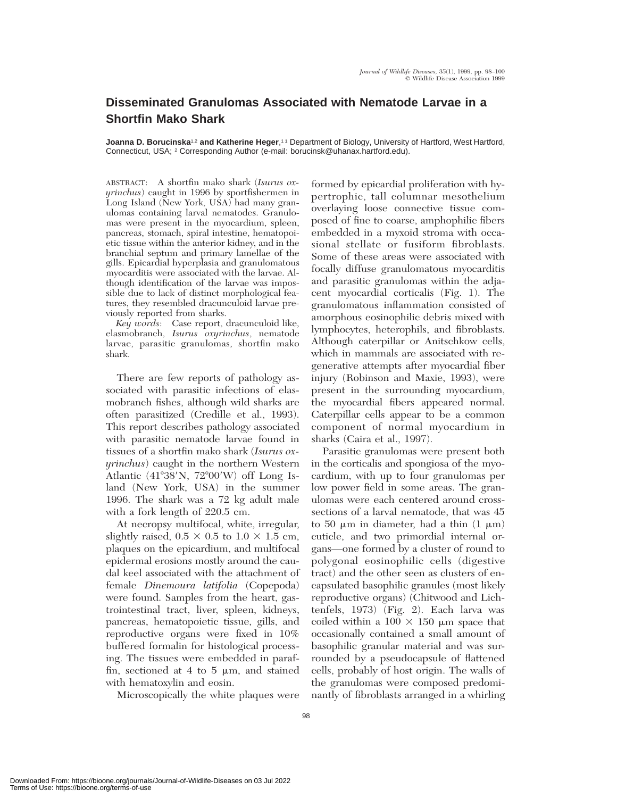## **Disseminated Granulomas Associated with Nematode Larvae in a Shortfin Mako Shark**

**Joanna D. Borucinska**<sup>1,2</sup> and Katherine Heger,<sup>11</sup> Department of Biology, University of Hartford, West Hartford, Connecticut, USA; <sup>2</sup> Corresponding Author (e-mail: borucinsk@uhanax.hartford.edu).

ABSTRACT: A shortfin mako shark (*Isurus oxyrinchus*) caught in 1996 by sportfishermen in Long Island (New York, USA) had many granulomas containing larval nematodes. Granulomas were present in the myocardium, spleen, pancreas, stomach, spiral intestine, hematopoietic tissue within the anterior kidney, and in the branchial septum and primary lamellae of the gills. Epicardial hyperplasia and granulomatous myocarditis were associated with the larvae. Although identification of the larvae was impossible due to lack of distinct morphological features, they resembled dracunculoid larvae previously reported from sharks.

*Key words*: Case report, dracunculoid like, elasmobranch, *Isurus oxyrinchus*, nematode larvae, parasitic granulomas, shortfin mako shark.

There are few reports of pathology associated with parasitic infections of elasmobranch fishes, although wild sharks are often parasitized (Credille et al., 1993). This report describes pathology associated with parasitic nematode larvae found in tissues of a shortfin mako shark (*Isurus oxyrinchus*) caught in the northern Western Atlantic  $(41^{\circ}38'N, 72^{\circ}00'W)$  off Long Island (New York, USA) in the summer 1996. The shark was a 72 kg adult male with a fork length of 220.5 cm.

At necropsy multifocal, white, irregular, slightly raised,  $0.5 \times 0.5$  to  $1.0 \times 1.5$  cm, plaques on the epicardium, and multifocal epidermal erosions mostly around the caudal keel associated with the attachment of female *Dinemoura latifolia* (Copepoda) were found. Samples from the heart, gastrointestinal tract, liver, spleen, kidneys, pancreas, hematopoietic tissue, gills, and reproductive organs were fixed in 10% buffered formalin for histological processing. The tissues were embedded in paraffin, sectioned at 4 to 5  $\mu$ m, and stained with hematoxylin and eosin.

Microscopically the white plaques were

formed by epicardial proliferation with hypertrophic, tall columnar mesothelium overlaying loose connective tissue composed of fine to coarse, amphophilic fibers embedded in a myxoid stroma with occasional stellate or fusiform fibroblasts. Some of these areas were associated with focally diffuse granulomatous myocarditis and parasitic granulomas within the adjacent myocardial corticalis (Fig. 1). The granulomatous inflammation consisted of amorphous eosinophilic debris mixed with lymphocytes, heterophils, and fibroblasts. Although caterpillar or Anitschkow cells, which in mammals are associated with regenerative attempts after myocardial fiber injury (Robinson and Maxie, 1993), were present in the surrounding myocardium, the myocardial fibers appeared normal. Caterpillar cells appear to be a common component of normal myocardium in sharks (Caira et al., 1997).

Parasitic granulomas were present both in the corticalis and spongiosa of the myocardium, with up to four granulomas per low power field in some areas. The granulomas were each centered around crosssections of a larval nematode, that was 45 to 50  $\mu$ m in diameter, had a thin (1  $\mu$ m) cuticle, and two primordial internal organs—one formed by a cluster of round to polygonal eosinophilic cells (digestive tract) and the other seen as clusters of encapsulated basophilic granules (most likely reproductive organs) (Chitwood and Lichtenfels, 1973) (Fig. 2). Each larva was coiled within a  $100 \times 150$  µm space that occasionally contained a small amount of basophilic granular material and was surrounded by a pseudocapsule of flattened cells, probably of host origin. The walls of the granulomas were composed predominantly of fibroblasts arranged in a whirling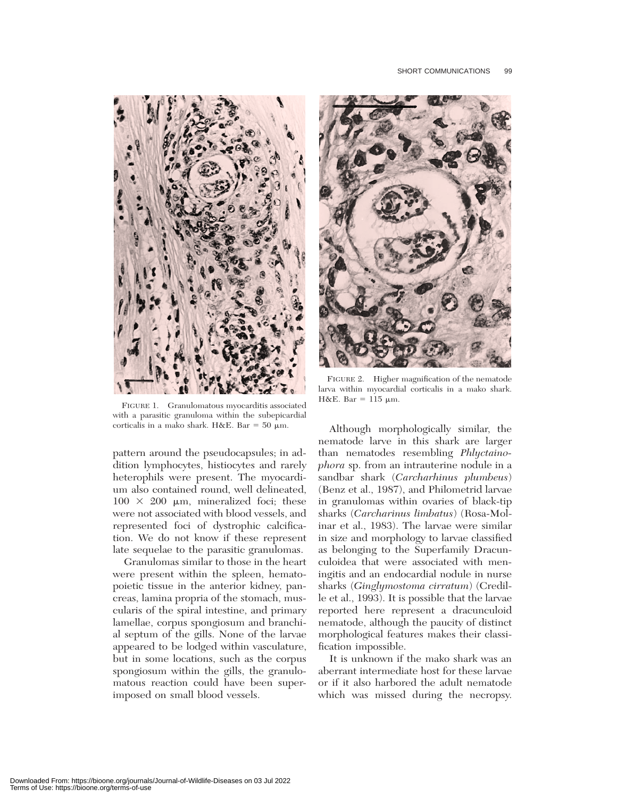

FIGURE 1. Granulomatous myocarditis associated with a parasitic granuloma within the subepicardial corticalis in a mako shark. H&E. Bar = 50  $\mu$ m.

pattern around the pseudocapsules; in addition lymphocytes, histiocytes and rarely heterophils were present. The myocardium also contained round, well delineated,  $100 \times 200$  µm, mineralized foci; these were not associated with blood vessels, and represented foci of dystrophic calcification. We do not know if these represent late sequelae to the parasitic granulomas.

Granulomas similar to those in the heart were present within the spleen, hematopoietic tissue in the anterior kidney, pancreas, lamina propria of the stomach, muscularis of the spiral intestine, and primary lamellae, corpus spongiosum and branchial septum of the gills. None of the larvae appeared to be lodged within vasculature, but in some locations, such as the corpus spongiosum within the gills, the granulomatous reaction could have been superimposed on small blood vessels.



FIGURE 2. Higher magnification of the nematode larva within myocardial corticalis in a mako shark. H&E. Bar =  $115 \mu$ m.

Although morphologically similar, the nematode larve in this shark are larger than nematodes resembling *Phlyctainophora* sp. from an intrauterine nodule in a sandbar shark (*Carcharhinus plumbeus*) (Benz et al., 1987), and Philometrid larvae in granulomas within ovaries of black-tip sharks (*Carcharinus limbatus*) (Rosa-Molinar et al., 1983). The larvae were similar in size and morphology to larvae classified as belonging to the Superfamily Dracunculoidea that were associated with meningitis and an endocardial nodule in nurse sharks (*Ginglymostoma cirratum*) (Credille et al., 1993). It is possible that the larvae reported here represent a dracunculoid nematode, although the paucity of distinct morphological features makes their classification impossible.

It is unknown if the mako shark was an aberrant intermediate host for these larvae or if it also harbored the adult nematode which was missed during the necropsy.